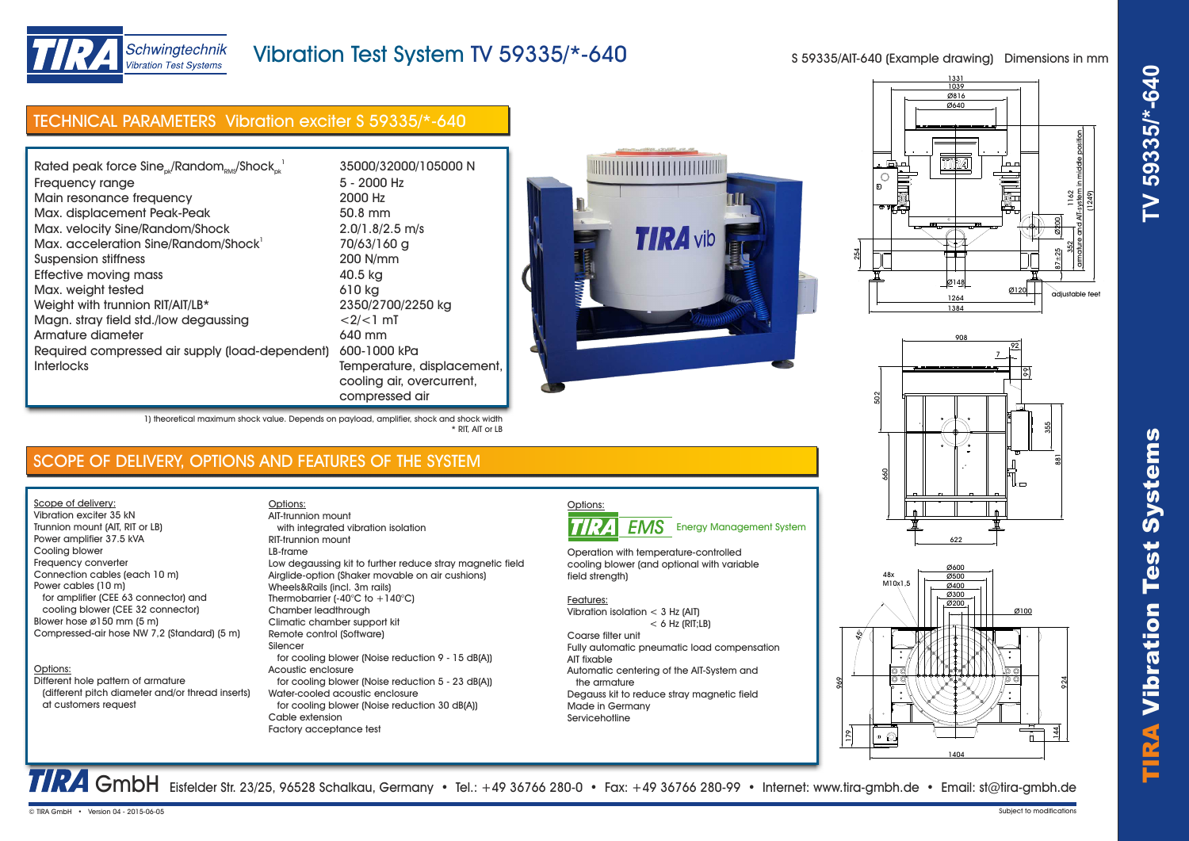

# TIRA Vibr ation Test Systems **TV 59335/\*-640**



# Vibration Test System TV 59335/\*-640

S 59335/AIT-640 (Example drawing) Dimensions in mm

# TECHNICAL PARAMETERS Vibration exciter S 59335/\*-640

| Rated peak force Sine <sub>ck</sub> /Random <sub>RMS</sub> /Shock <sub>ck</sub> <sup>1</sup> | 35000/32000/105000 N       |
|----------------------------------------------------------------------------------------------|----------------------------|
| Frequency range                                                                              | 5 - 2000 Hz                |
| Main resonance frequency                                                                     | 2000 Hz                    |
| Max. displacement Peak-Peak                                                                  | 50.8 mm                    |
| Max. velocity Sine/Random/Shock                                                              | $2.0/1.8/2.5$ m/s          |
| Max. acceleration Sine/Random/Shock <sup>1</sup>                                             | 70/63/160 g                |
| Suspension stiffness                                                                         | 200 N/mm                   |
| Effective moving mass                                                                        | 40.5 kg                    |
| Max. weight tested                                                                           | 610 kg                     |
| Weight with trunnion RIT/AIT/LB*                                                             | 2350/2700/2250 kg          |
| Magn. stray field std./low degaussing                                                        | $<2/<1$ mT                 |
| Armature diameter                                                                            | 640 mm                     |
| Required compressed air supply (load-dependent)                                              | 600-1000 kPa               |
| <b>Interlocks</b>                                                                            | Temperature, displacement, |
|                                                                                              | cooling air, overcurrent,  |
|                                                                                              | compressed air             |



1) theoretical maximum shock value. Depends on payload, amplifier, shock and shock width \* RIT, AIT or LB

# SCOPE OF DELIVERY, OPTIONS AND FEATURES OF THE SYSTEM

Scope of delivery: Vibration exciter 35 kN Trunnion mount (AIT, RIT or LB) Power amplifier 37.5 kVA Cooling blower Frequency converter Connection cables (each 10 m) Power cables (10 m) for amplifier (CEE 63 connector) and

 cooling blower (CEE 32 connector) Blower hose ø150 mm (5 m) Compressed-air hose NW 7,2 (Standard) (5 m)

## Options:

Different hole pattern of armature (different pitch diameter and/or thread inserts) at customers request

Options: with integrated vibration isolation RIT-trunnion mount LB-frame Low degaussing kit to further reduce stray magnetic field Airglide-option (Shaker movable on air cushions) Wheels&Rails (incl. 3m rails) Thermobarrier (-40 $^{\circ}$ C to +140 $^{\circ}$ C) Chamber leadthrough Climatic chamber support kit Remote control (Software) Silencer for cooling blower (Noise reduction 9 - 15 dB(A)) Acoustic enclosure for cooling blower (Noise reduction 5 - 23 dB(A)) Water-cooled acoustic enclosure for cooling blower (Noise reduction 30 dB(A)) Cable extension Factory acceptance test AIT-trunnion mount



Operation with temperature-controlled cooling blower (and optional with variable field strength)

### Features:

Vibration isolation < 3 Hz (AIT)  $< 6$  Hz (RIT;  $\vert$  B)

Coarse filter unit Fully automatic pneumatic load compensation AIT fixable Automatic centering of the AIT-System and the armature Degauss kit to reduce stray magnetic field Made in Germany Servicehotline







TRA GmbH Eisfelder Str. 23/25, 96528 Schalkau, Germany • Tel.: +49 36766 280-0 • Fax: +49 36766 280-99 • Internet: www.tira-gmbh.de • Email: st@tira-gmbh.de